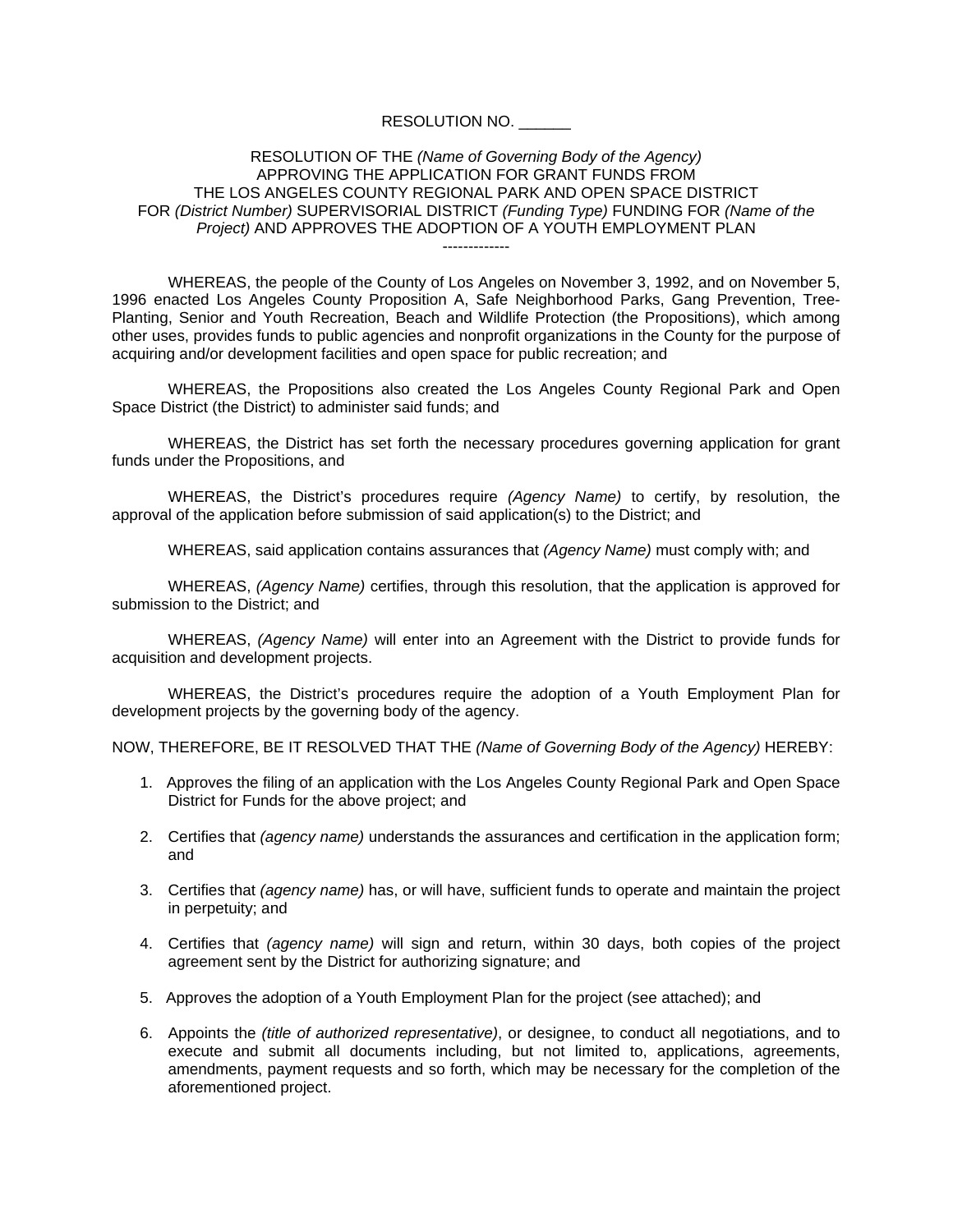## RESOLUTION NO. \_\_\_\_\_\_

## RESOLUTION OF THE *(Name of Governing Body of the Agency)*  APPROVING THE APPLICATION FOR GRANT FUNDS FROM THE LOS ANGELES COUNTY REGIONAL PARK AND OPEN SPACE DISTRICT FOR *(District Number)* SUPERVISORIAL DISTRICT *(Funding Type)* FUNDING FOR *(Name of the Project)* AND APPROVES THE ADOPTION OF A YOUTH EMPLOYMENT PLAN -------------

WHEREAS, the people of the County of Los Angeles on November 3, 1992, and on November 5, 1996 enacted Los Angeles County Proposition A, Safe Neighborhood Parks, Gang Prevention, Tree-Planting, Senior and Youth Recreation, Beach and Wildlife Protection (the Propositions), which among other uses, provides funds to public agencies and nonprofit organizations in the County for the purpose of acquiring and/or development facilities and open space for public recreation; and

WHEREAS, the Propositions also created the Los Angeles County Regional Park and Open Space District (the District) to administer said funds; and

WHEREAS, the District has set forth the necessary procedures governing application for grant funds under the Propositions, and

WHEREAS, the District's procedures require *(Agency Name)* to certify, by resolution, the approval of the application before submission of said application(s) to the District; and

WHEREAS, said application contains assurances that *(Agency Name)* must comply with; and

WHEREAS, *(Agency Name)* certifies, through this resolution, that the application is approved for submission to the District; and

WHEREAS, *(Agency Name)* will enter into an Agreement with the District to provide funds for acquisition and development projects.

WHEREAS, the District's procedures require the adoption of a Youth Employment Plan for development projects by the governing body of the agency.

NOW, THEREFORE, BE IT RESOLVED THAT THE *(Name of Governing Body of the Agency)* HEREBY:

- 1. Approves the filing of an application with the Los Angeles County Regional Park and Open Space District for Funds for the above project; and
- 2. Certifies that *(agency name)* understands the assurances and certification in the application form; and
- 3. Certifies that *(agency name)* has, or will have, sufficient funds to operate and maintain the project in perpetuity; and
- 4. Certifies that *(agency name)* will sign and return, within 30 days, both copies of the project agreement sent by the District for authorizing signature; and
- 5. Approves the adoption of a Youth Employment Plan for the project (see attached); and
- 6. Appoints the *(title of authorized representative)*, or designee, to conduct all negotiations, and to execute and submit all documents including, but not limited to, applications, agreements, amendments, payment requests and so forth, which may be necessary for the completion of the aforementioned project.